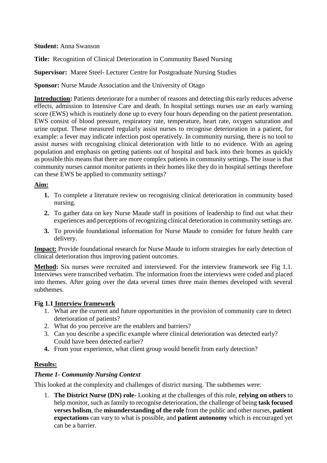#### **Student:** Anna Swanson

**Title:** Recognition of Clinical Deterioration in Community Based Nursing

**Supervisor:** Maree Steel- Lecturer Centre for Postgraduate Nursing Studies

**Sponsor:** Nurse Maude Association and the University of Otago

**Introduction:** Patients deteriorate for a number of reasons and detecting this early reduces adverse effects, admission to Intensive Care and death. In hospital settings nurses use an early warning score (EWS) which is routinely done up to every four hours depending on the patient presentation. EWS consist of blood pressure, respiratory rate, temperature, heart rate, oxygen saturation and urine output. These measured regularly assist nurses to recognise deterioration in a patient, for example: a fever may indicate infection post operatively. In community nursing, there is no tool to assist nurses with recognising clinical deterioration with little to no evidence. With an ageing population and emphasis on getting patients out of hospital and back into their homes as quickly as possible this means that there are more complex patients in community settings. The issue is that community nurses cannot monitor patients in their homes like they do in hospital settings therefore can these EWS be applied to community settings?

## **Aim:**

- **1.** To complete a literature review on recognising clinical deterioration in community based nursing.
- **2.** To gather data on key Nurse Maude staff in positions of leadership to find out what their experiences and perceptions of recognizing clinical deterioration in community settings are.
- **3.** To provide foundational information for Nurse Maude to consider for future health care delivery.

**Impact:** Provide foundational research for Nurse Maude to inform strategies for early detection of clinical deterioration thus improving patient outcomes.

**Method:** Six nurses were recruited and interviewed. For the interview framework see Fig 1.1. Interviews were transcribed verbatim. The information from the interviews were coded and placed into themes. After going over the data several times three main themes developed with several subthemes.

#### **Fig 1.1 Interview framework**

- 1. What are the current and future opportunities in the provision of community care to detect deterioration of patients?
- 2. What do you perceive are the enablers and barriers?
- 3. Can you describe a specific example where clinical deterioration was detected early? Could have been detected earlier?
- **4.** From your experience, what client group would benefit from early detection?

# **Results:**

# *Theme 1- Community Nursing Context*

This looked at the complexity and challenges of district nursing. The subthemes were:

1. **The District Nurse (DN) role**- Looking at the challenges of this role, **relying on others** to help monitor, such as family to recognise deterioration, the challenge of being **task focused verses holism**, the **misunderstanding of the role** from the public and other nurses, **patient expectations** can vary to what is possible, and **patient autonomy** which is encouraged yet can be a barrier.